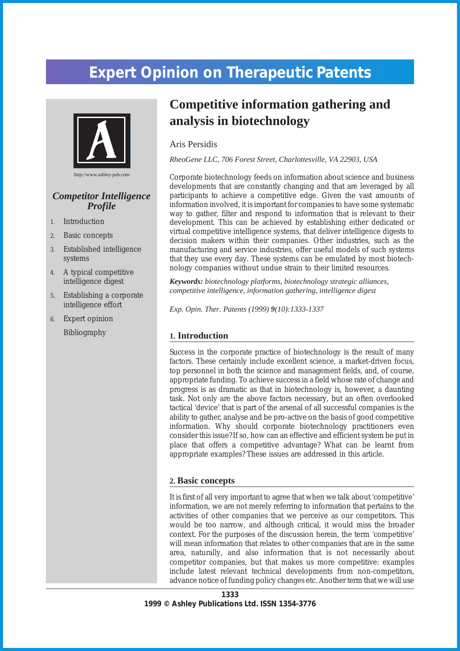# <span id="page-0-0"></span>**Expert Opinion on Therapeutic Patents**



# *Competitor Intelligence Profile*

- 1. [Introduction](#page-0-0)
- 2. [Basic concepts](#page-0-0)
- 3. [Established intelligence](#page-1-0) [systems](#page-1-0)
- 4. [A typical competitive](#page-2-0) [intelligence digest](#page-2-0)
- [5. Establishing a corporate](#page-3-0) [intelligence effort](#page-3-0)
- 6. [Expert opinion](#page-3-0) [Bibliography](#page-3-0)

# Competitive information gathering and **analysis in biotechnology**

# Aris Persidis

*RheoGene LLC, 706 Forest Street, Charlottesville, VA 22903, USA*

Corporate biotechnology feeds on information about science and business developments that are constantly changing and that are leveraged by all participants to achieve a competitive edge. Given the vast amounts of information involved, it is important for companies to have some systematic way to gather, filter and respond to information that is relevant to their development. This can be achieved by establishing either dedicated or virtual competitive intelligence systems, that deliver intelligence digests to decision makers within their companies. Other industries, such as the manufacturing and service industries, offer useful models of such systems that they use every day. These systems can be emulated by most biotechnology companies without undue strain to their limited resources.

*Keywords: biotechnology platforms, biotechnology strategic alliances, competitive intelligence, information gathering, intelligence digest*

*Exp. Opin. Ther. Patents (1999) 9(10):1333-1337*

# **1. Introduction**

Success in the corporate practice of biotechnology is the result of many factors. These certainly include excellent science, a market-driven focus, top personnel in both the science and management fields, and, of course, appropriate funding. To achieve success in a field whose rate of change and progress is as dramatic as that in biotechnology is, however, a daunting task. Not only are the above factors necessary, but an often overlooked tactical 'device' that is part of the arsenal of all successful companies is the ability to gather, analyse and be pro-active on the basis of good competitive information. Why should corporate biotechnology practitioners even consider this issue? If so, how can an effective and efficient system be put in place that offers a competitive advantage? What can be learnt from appropriate examples? These issues are addressed in this article.

## **2. Basic concepts**

It is first of all very important to agree that when we talk about 'competitive' information, we are not merely referring to information that pertains to the activities of other companies that we perceive as our competitors. This would be too narrow, and although critical, it would miss the broader context. For the purposes of the discussion herein, the term 'competitive' will mean information that relates to other companies that are in the same area, naturally, and also information that is not necessarily about competitor companies, but that makes us more competitive: examples include latest relevant technical developments from non-competitors, advance notice of funding policy changes etc. Another term that we will use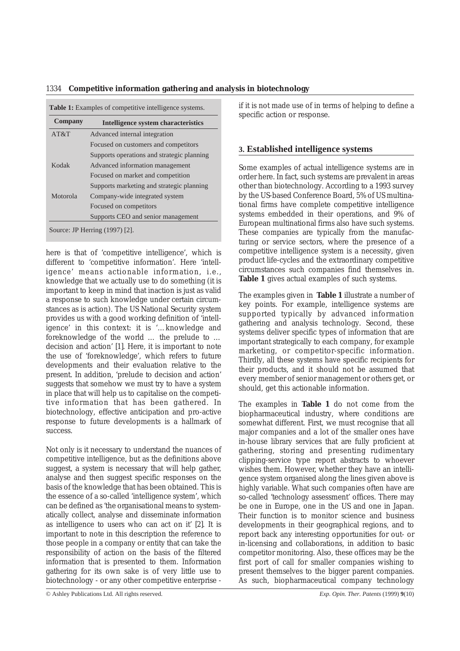<span id="page-1-0"></span>

| Company  | <b>Intelligence system characteristics</b> |
|----------|--------------------------------------------|
| AT&T     | Advanced internal integration              |
|          | Focused on customers and competitors       |
|          | Supports operations and strategic planning |
| Kodak    | Advanced information management            |
|          | Focused on market and competition          |
|          | Supports marketing and strategic planning  |
| Motorola | Company-wide integrated system             |
|          | Focused on competitors                     |
|          | Supports CEO and senior management         |

here is that of 'competitive intelligence', which is different to 'competitive information'. Here 'intelligence' means actionable information, i.e., knowledge that we actually use to do something (it is important to keep in mind that inaction is just as valid a response to such knowledge under certain circumstances as is action). The US National Security system provides us with a good working definition of 'intelligence' in this context: it is '…knowledge and foreknowledge of the world … the prelude to … decision and action' [1]. Here, it is important to note the use of 'foreknowledge', which refers to future developments and their evaluation relative to the present. In addition, 'prelude to decision and action' suggests that somehow we must try to have a system in place that will help us to capitalise on the competitive information that has been gathered. In biotechnology, effective anticipation and pro-active response to future developments is a hallmark of success.

Not only is it necessary to understand the nuances of competitive intelligence, but as the definitions above suggest, a system is necessary that will help gather, analyse and then suggest specific responses on the basis of the knowledge that has been obtained. This is the essence of a so-called 'intelligence system', which can be defined as 'the organisational means to systematically collect, analyse and disseminate information as intelligence to users who can act on it' [2]. It is important to note in this description the reference to those people in a company or entity that can take the responsibility of action on the basis of the filtered information that is presented to them. Information gathering for its own sake is of very little use to biotechnology - or any other competitive enterprise -

if it is not made use of in terms of helping to define a specific action or response.

# **3. Established intelligence systems**

Some examples of actual intelligence systems are in order here. In fact, such systems are prevalent in areas other than biotechnology. According to a 1993 survey by the US-based Conference Board, 5% of US multinational firms have complete competitive intelligence systems embedded in their operations, and 9% of European multinational firms also have such systems. These companies are typically from the manufacturing or service sectors, where the presence of a competitive intelligence system is a necessity, given product life-cycles and the extraordinary competitive circumstances such companies find themselves in. **Table 1** gives actual examples of such systems.

The examples given in **Table 1** illustrate a number of key points. For example, intelligence systems are supported typically by advanced information gathering and analysis technology. Second, these systems deliver specific types of information that are important strategically to each company, for example marketing, or competitor-specific information. Thirdly, all these systems have specific recipients for their products, and it should not be assumed that every member of senior management or others get, or should, get this actionable information.

The examples in **Table 1** do not come from the biopharmaceutical industry, where conditions are somewhat different. First, we must recognise that all major companies and a lot of the smaller ones have in-house library services that are fully proficient at gathering, storing and presenting rudimentary clipping-service type report abstracts to whoever wishes them. However, whether they have an intelligence system organised along the lines given above is highly variable. What such companies often have are so-called 'technology assessment' offices. There may be one in Europe, one in the US and one in Japan. Their function is to monitor science and business developments in their geographical regions, and to report back any interesting opportunities for out- or in-licensing and collaborations, in addition to basic competitor monitoring. Also, these offices may be the first port of call for smaller companies wishing to present themselves to the bigger parent companies. As such, biopharmaceutical company technology

<sup>©</sup> Ashley Publications Ltd. All rights reserved. *Exp. Opin. Ther. Patents* (1999) **9**(10)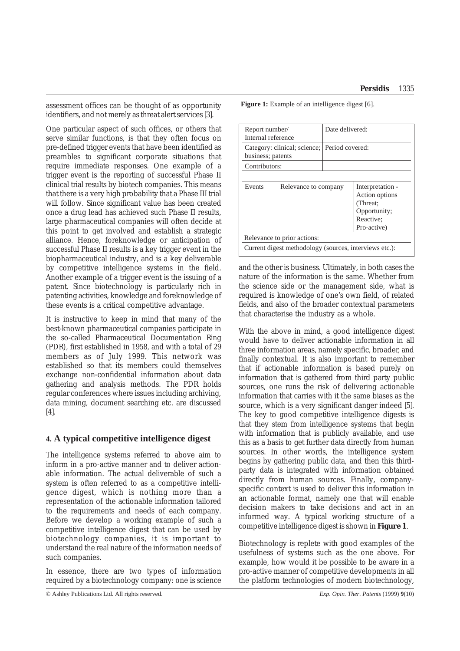<span id="page-2-0"></span>assessment offices can be thought of as opportunity identifiers, and not merely as threat alert services [3].

One particular aspect of such offices, or others that serve similar functions, is that they often focus on pre-defined trigger events that have been identified as preambles to significant corporate situations that require immediate responses. One example of a trigger event is the reporting of successful Phase II clinical trial results by biotech companies. This means that there is a very high probability that a Phase III trial will follow. Since significant value has been created once a drug lead has achieved such Phase II results, large pharmaceutical companies will often decide at this point to get involved and establish a strategic alliance. Hence, foreknowledge or anticipation of successful Phase II results is a key trigger event in the biopharmaceutical industry, and is a key deliverable by competitive intelligence systems in the field. Another example of a trigger event is the issuing of a patent. Since biotechnology is particularly rich in patenting activities, knowledge and foreknowledge of these events is a critical competitive advantage.

It is instructive to keep in mind that many of the best-known pharmaceutical companies participate in the so-called Pharmaceutical Documentation Ring (PDR), first established in 1958, and with a total of 29 members as of July 1999. This network was established so that its members could themselves exchange non-confidential information about data gathering and analysis methods. The PDR holds regular conferences where issues including archiving, data mining, document searching etc. are discussed [4].

## **4. A typical competitive intelligence digest**

The intelligence systems referred to above aim to inform in a pro-active manner and to deliver actionable information. The actual deliverable of such a system is often referred to as a competitive intelligence digest, which is nothing more than a representation of the actionable information tailored to the requirements and needs of each company. Before we develop a working example of such a competitive intelligence digest that can be used by biotechnology companies, it is important to understand the real nature of the information needs of such companies.

In essence, there are two types of information required by a biotechnology company: one is science

Report number/ Internal reference Date delivered: Category: clinical; science; business; patents Period covered: Contributors: Events Relevance to company Interpretation -Action options (Threat; Opportunity; Reactive; Pro-active) Relevance to prior actions: Current digest methodology (sources, interviews etc.):

**Figure 1:** Example of an intelligence digest [6].

and the other is business. Ultimately, in both cases the nature of the information is the same. Whether from the science side or the management side, what is required is knowledge of one's own field, of related fields, and also of the broader contextual parameters that characterise the industry as a whole.

With the above in mind, a good intelligence digest would have to deliver actionable information in all three information areas, namely specific, broader, and finally contextual. It is also important to remember that if actionable information is based purely on information that is gathered from third party public sources, one runs the risk of delivering actionable information that carries with it the same biases as the source, which is a very significant danger indeed [5]. The key to good competitive intelligence digests is that they stem from intelligence systems that begin with information that is publicly available, and use this as a basis to get further data directly from human sources. In other words, the intelligence system begins by gathering public data, and then this thirdparty data is integrated with information obtained directly from human sources. Finally, companyspecific context is used to deliver this information in an actionable format, namely one that will enable decision makers to take decisions and act in an informed way. A typical working structure of a competitive intelligence digest is shown in **Figure 1**.

Biotechnology is replete with good examples of the usefulness of systems such as the one above. For example, how would it be possible to be aware in a pro-active manner of competitive developments in all the platform technologies of modern biotechnology,

© Ashley Publications Ltd. All rights reserved. *Exp. Opin. Ther. Patents* (1999) **9**(10)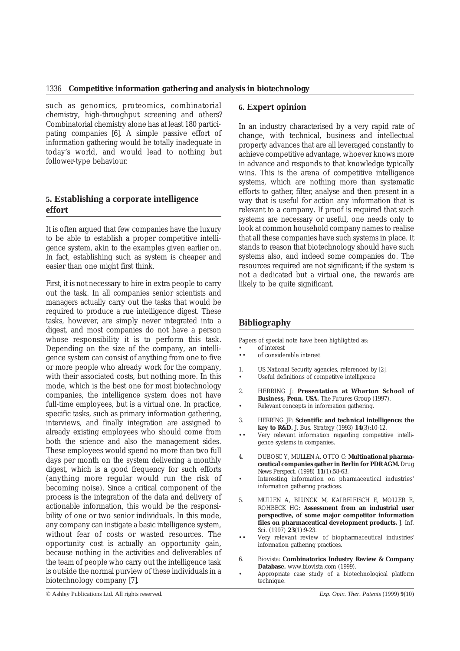#### <span id="page-3-0"></span>1336 **Competitive information gathering and analysis in biotechnology**

such as genomics, proteomics, combinatorial chemistry, high-throughput screening and others? Combinatorial chemistry alone has at least 180 participating companies [6]. A simple passive effort of information gathering would be totally inadequate in today's world, and would lead to nothing but follower-type behaviour.

# **5. Establishing a corporate intelligence effort**

It is often argued that few companies have the luxury to be able to establish a proper competitive intelligence system, akin to the examples given earlier on. In fact, establishing such as system is cheaper and easier than one might first think.

First, it is not necessary to hire in extra people to carry out the task. In all companies senior scientists and managers actually carry out the tasks that would be required to produce a rue intelligence digest. These tasks, however, are simply never integrated into a digest, and most companies do not have a person whose responsibility it is to perform this task. Depending on the size of the company, an intelligence system can consist of anything from one to five or more people who already work for the company, with their associated costs, but nothing more. In this mode, which is the best one for most biotechnology companies, the intelligence system does not have full-time employees, but is a virtual one. In practice, specific tasks, such as primary information gathering, interviews, and finally integration are assigned to already existing employees who should come from both the science and also the management sides. These employees would spend no more than two full days per month on the system delivering a monthly digest, which is a good frequency for such efforts (anything more regular would run the risk of becoming noise). Since a critical component of the process is the integration of the data and delivery of actionable information, this would be the responsibility of one or two senior individuals. In this mode, any company can instigate a basic intelligence system, without fear of costs or wasted resources. The opportunity cost is actually an opportunity gain, because nothing in the activities and deliverables of the team of people who carry out the intelligence task is outside the normal purview of these individuals in a biotechnology company [7].

#### **6. Expert opinion**

In an industry characterised by a very rapid rate of change, with technical, business and intellectual property advances that are all leveraged constantly to achieve competitive advantage, whoever knows more in advance and responds to that knowledge typically wins. This is the arena of competitive intelligence systems, which are nothing more than systematic efforts to gather, filter, analyse and then present in a way that is useful for action any information that is relevant to a company. If proof is required that such systems are necessary or useful, one needs only to look at common household company names to realise that all these companies have such systems in place. It stands to reason that biotechnology should have such systems also, and indeed some companies do. The resources required are not significant; if the system is not a dedicated but a virtual one, the rewards are likely to be quite significant.

# **Bibliography**

Papers of special note have been highlighted as:

- of interest •• of considerable interest
- 
- 1. US National Security agencies, referenced by [2]. Useful definitions of competitve intelligence
- 2. HERRING J: **Presentation at Wharton School of Business, Penn. USA.** *The Futures Group* (1997).
- Relevant concepts in information gathering.
- 3. HERRING JP: **Scientific and technical intelligence: the key to R&D.** *J. Bus. Strategy* (1993) **14**(3):10-12.
- •• Very relevant information regarding competitive intelligence systems in companies.
- 4. DUBOSC Y, MULLEN A, OTTO C: **Multinational pharmaceutical companies gather in Berlin for PDR AGM.** *Drug News Perspect*. (1998) **11**(1):58-63.
- Interesting information on pharmaceutical industries' information gathering practices.
- 5. MULLEN A, BLUNCK M, KALBFLEISCH E, MOLLER E, ROHBECK HG: **Assessment from an industrial user perspective, of some major competitor information files on pharmaceutical development products.** *J. Inf. Sci.* (1997) **23**(1):9-23.
- •• Very relevant review of biopharmaceutical industries' information gathering practices.
- 6. Biovista: **Combinatorics Industry Review & Company Database.** *www.biovista.com* (1999).
- Appropriate case study of a biotechnological platform technique.

© Ashley Publications Ltd. All rights reserved. *Exp. Opin. Ther. Patents* (1999) **9**(10)